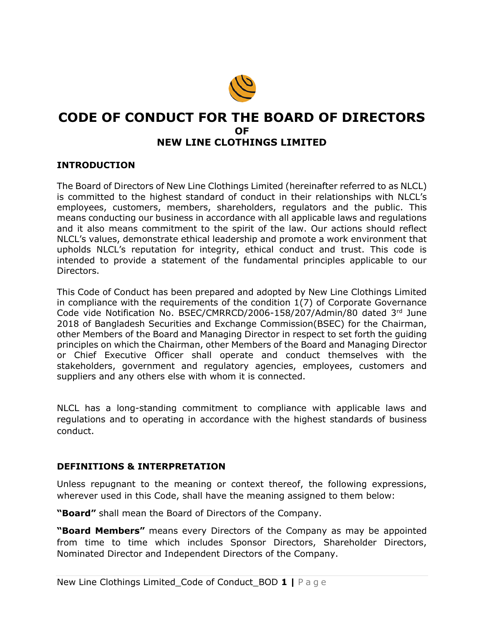

# **CODE OF CONDUCT FOR THE BOARD OF DIRECTORS OF NEW LINE CLOTHINGS LIMITED**

#### **INTRODUCTION**

The Board of Directors of New Line Clothings Limited (hereinafter referred to as NLCL) is committed to the highest standard of conduct in their relationships with NLCL's employees, customers, members, shareholders, regulators and the public. This means conducting our business in accordance with all applicable laws and regulations and it also means commitment to the spirit of the law. Our actions should reflect NLCL's values, demonstrate ethical leadership and promote a work environment that upholds NLCL's reputation for integrity, ethical conduct and trust. This code is intended to provide a statement of the fundamental principles applicable to our Directors.

This Code of Conduct has been prepared and adopted by New Line Clothings Limited in compliance with the requirements of the condition 1(7) of Corporate Governance Code vide Notification No. BSEC/CMRRCD/2006-158/207/Admin/80 dated 3rd June 2018 of Bangladesh Securities and Exchange Commission(BSEC) for the Chairman, other Members of the Board and Managing Director in respect to set forth the guiding principles on which the Chairman, other Members of the Board and Managing Director or Chief Executive Officer shall operate and conduct themselves with the stakeholders, government and regulatory agencies, employees, customers and suppliers and any others else with whom it is connected.

NLCL has a long-standing commitment to compliance with applicable laws and regulations and to operating in accordance with the highest standards of business conduct.

#### **DEFINITIONS & INTERPRETATION**

Unless repugnant to the meaning or context thereof, the following expressions, wherever used in this Code, shall have the meaning assigned to them below:

**"Board"** shall mean the Board of Directors of the Company.

**"Board Members"** means every Directors of the Company as may be appointed from time to time which includes Sponsor Directors, Shareholder Directors, Nominated Director and Independent Directors of the Company.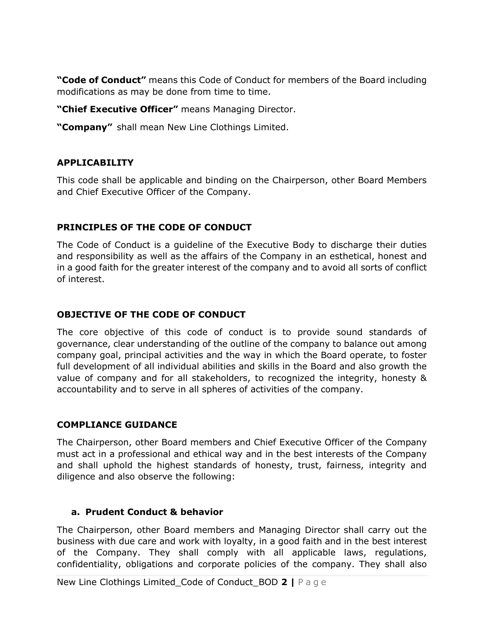**"Code of Conduct"** means this Code of Conduct for members of the Board including modifications as may be done from time to time.

**"Chief Executive Officer"** means Managing Director.

**"Company"** shall mean New Line Clothings Limited.

## **APPLICABILITY**

This code shall be applicable and binding on the Chairperson, other Board Members and Chief Executive Officer of the Company.

## **PRINCIPLES OF THE CODE OF CONDUCT**

The Code of Conduct is a guideline of the Executive Body to discharge their duties and responsibility as well as the affairs of the Company in an esthetical, honest and in a good faith for the greater interest of the company and to avoid all sorts of conflict of interest.

## **OBJECTIVE OF THE CODE OF CONDUCT**

The core objective of this code of conduct is to provide sound standards of governance, clear understanding of the outline of the company to balance out among company goal, principal activities and the way in which the Board operate, to foster full development of all individual abilities and skills in the Board and also growth the value of company and for all stakeholders, to recognized the integrity, honesty & accountability and to serve in all spheres of activities of the company.

#### **COMPLIANCE GUIDANCE**

The Chairperson, other Board members and Chief Executive Officer of the Company must act in a professional and ethical way and in the best interests of the Company and shall uphold the highest standards of honesty, trust, fairness, integrity and diligence and also observe the following:

#### **a. Prudent Conduct & behavior**

The Chairperson, other Board members and Managing Director shall carry out the business with due care and work with loyalty, in a good faith and in the best interest of the Company. They shall comply with all applicable laws, regulations, confidentiality, obligations and corporate policies of the company. They shall also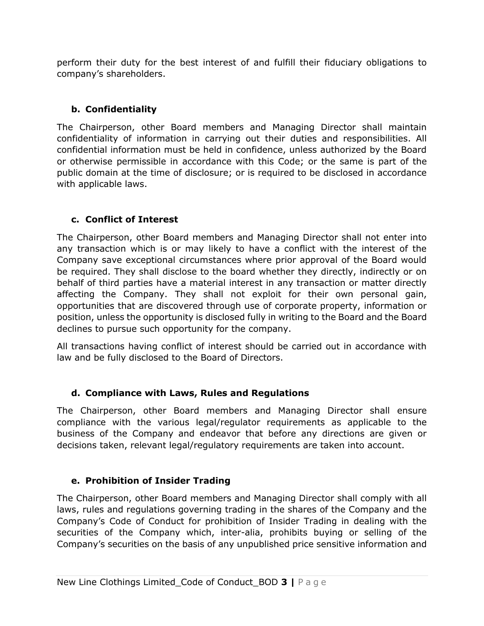perform their duty for the best interest of and fulfill their fiduciary obligations to company's shareholders.

# **b. Confidentiality**

The Chairperson, other Board members and Managing Director shall maintain confidentiality of information in carrying out their duties and responsibilities. All confidential information must be held in confidence, unless authorized by the Board or otherwise permissible in accordance with this Code; or the same is part of the public domain at the time of disclosure; or is required to be disclosed in accordance with applicable laws.

# **c. Conflict of Interest**

The Chairperson, other Board members and Managing Director shall not enter into any transaction which is or may likely to have a conflict with the interest of the Company save exceptional circumstances where prior approval of the Board would be required. They shall disclose to the board whether they directly, indirectly or on behalf of third parties have a material interest in any transaction or matter directly affecting the Company. They shall not exploit for their own personal gain, opportunities that are discovered through use of corporate property, information or position, unless the opportunity is disclosed fully in writing to the Board and the Board declines to pursue such opportunity for the company.

All transactions having conflict of interest should be carried out in accordance with law and be fully disclosed to the Board of Directors.

# **d. Compliance with Laws, Rules and Regulations**

The Chairperson, other Board members and Managing Director shall ensure compliance with the various legal/regulator requirements as applicable to the business of the Company and endeavor that before any directions are given or decisions taken, relevant legal/regulatory requirements are taken into account.

# **e. Prohibition of Insider Trading**

The Chairperson, other Board members and Managing Director shall comply with all laws, rules and regulations governing trading in the shares of the Company and the Company's Code of Conduct for prohibition of Insider Trading in dealing with the securities of the Company which, inter-alia, prohibits buying or selling of the Company's securities on the basis of any unpublished price sensitive information and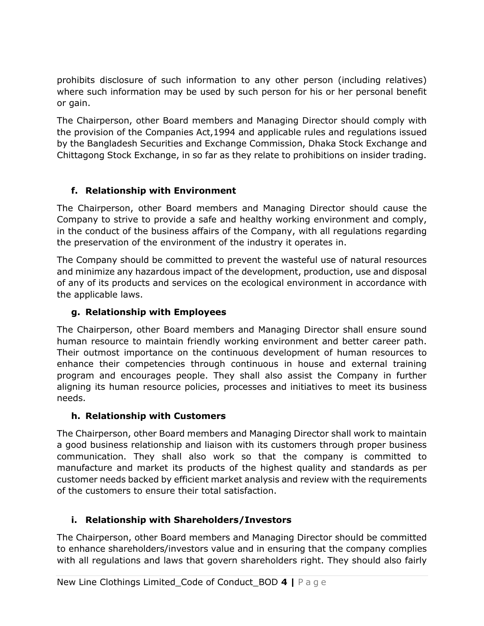prohibits disclosure of such information to any other person (including relatives) where such information may be used by such person for his or her personal benefit or gain.

The Chairperson, other Board members and Managing Director should comply with the provision of the Companies Act,1994 and applicable rules and regulations issued by the Bangladesh Securities and Exchange Commission, Dhaka Stock Exchange and Chittagong Stock Exchange, in so far as they relate to prohibitions on insider trading.

# **f. Relationship with Environment**

The Chairperson, other Board members and Managing Director should cause the Company to strive to provide a safe and healthy working environment and comply, in the conduct of the business affairs of the Company, with all regulations regarding the preservation of the environment of the industry it operates in.

The Company should be committed to prevent the wasteful use of natural resources and minimize any hazardous impact of the development, production, use and disposal of any of its products and services on the ecological environment in accordance with the applicable laws.

# **g. Relationship with Employees**

The Chairperson, other Board members and Managing Director shall ensure sound human resource to maintain friendly working environment and better career path. Their outmost importance on the continuous development of human resources to enhance their competencies through continuous in house and external training program and encourages people. They shall also assist the Company in further aligning its human resource policies, processes and initiatives to meet its business needs.

## **h. Relationship with Customers**

The Chairperson, other Board members and Managing Director shall work to maintain a good business relationship and liaison with its customers through proper business communication. They shall also work so that the company is committed to manufacture and market its products of the highest quality and standards as per customer needs backed by efficient market analysis and review with the requirements of the customers to ensure their total satisfaction.

# **i. Relationship with Shareholders/Investors**

The Chairperson, other Board members and Managing Director should be committed to enhance shareholders/investors value and in ensuring that the company complies with all regulations and laws that govern shareholders right. They should also fairly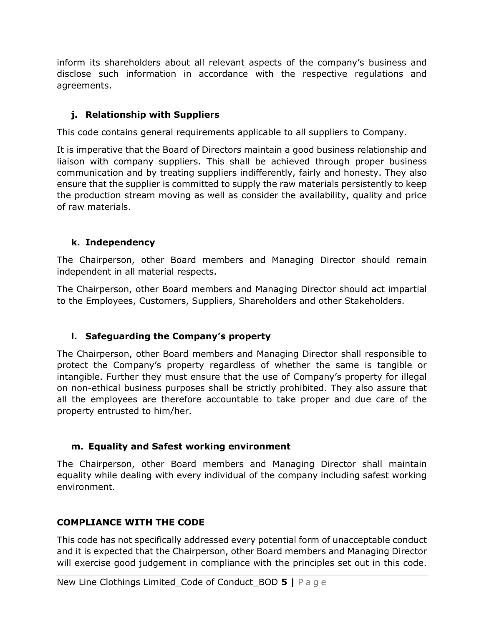inform its shareholders about all relevant aspects of the company's business and disclose such information in accordance with the respective regulations and agreements.

## **j. Relationship with Suppliers**

This code contains general requirements applicable to all suppliers to Company.

It is imperative that the Board of Directors maintain a good business relationship and liaison with company suppliers. This shall be achieved through proper business communication and by treating suppliers indifferently, fairly and honesty. They also ensure that the supplier is committed to supply the raw materials persistently to keep the production stream moving as well as consider the availability, quality and price of raw materials.

#### **k. Independency**

The Chairperson, other Board members and Managing Director should remain independent in all material respects.

The Chairperson, other Board members and Managing Director should act impartial to the Employees, Customers, Suppliers, Shareholders and other Stakeholders.

## **l. Safeguarding the Company's property**

The Chairperson, other Board members and Managing Director shall responsible to protect the Company's property regardless of whether the same is tangible or intangible. Further they must ensure that the use of Company's property for illegal on non-ethical business purposes shall be strictly prohibited. They also assure that all the employees are therefore accountable to take proper and due care of the property entrusted to him/her.

#### **m. Equality and Safest working environment**

The Chairperson, other Board members and Managing Director shall maintain equality while dealing with every individual of the company including safest working environment.

## **COMPLIANCE WITH THE CODE**

This code has not specifically addressed every potential form of unacceptable conduct and it is expected that the Chairperson, other Board members and Managing Director will exercise good judgement in compliance with the principles set out in this code.